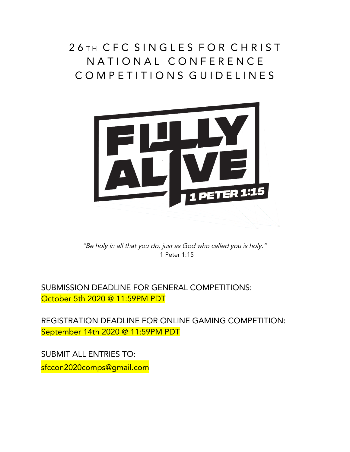## 26 TH CFC SINGLES FOR CHRIST NATIONAL CONFERENCE C O M P E T I T I O N S G U I D E L I N E S



"Be holy in all that you do, just as God who called you is holy." 1 Peter 1:15

SUBMISSION DEADLINE FOR GENERAL COMPETITIONS: October 5th 2020 @ 11:59PM PDT

REGISTRATION DEADLINE FOR ONLINE GAMING COMPETITION: September 14th 2020 @ 11:59PM PDT

SUBMIT ALL ENTRIES TO: sfccon2020comps@gmail.com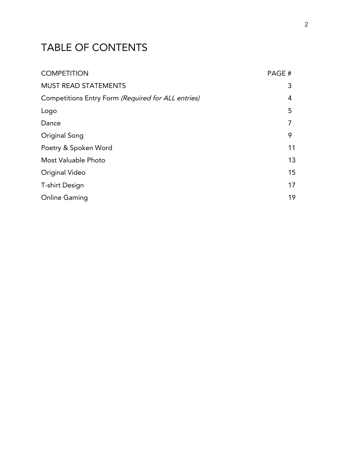## TABLE OF CONTENTS

| <b>COMPETITION</b>                                 | PAGE# |
|----------------------------------------------------|-------|
| <b>MUST READ STATEMENTS</b>                        | 3     |
| Competitions Entry Form (Required for ALL entries) | 4     |
| Logo                                               | 5     |
| Dance                                              | 7     |
| Original Song                                      | 9     |
| Poetry & Spoken Word                               | 11    |
| Most Valuable Photo                                | 13    |
| Original Video                                     | 15    |
| <b>T-shirt Design</b>                              | 17    |
| <b>Online Gaming</b>                               | 19    |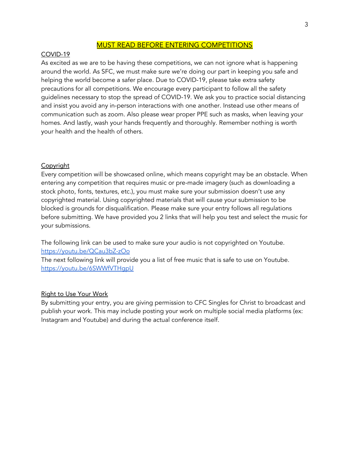#### MUST READ BEFORE ENTERING COMPETITIONS

#### COVID-19

As excited as we are to be having these competitions, we can not ignore what is happening around the world. As SFC, we must make sure we're doing our part in keeping you safe and helping the world become a safer place. Due to COVID-19, please take extra safety precautions for all competitions. We encourage every participant to follow all the safety guidelines necessary to stop the spread of COVID-19. We ask you to practice social distancing and insist you avoid any in-person interactions with one another. Instead use other means of communication such as zoom. Also please wear proper PPE such as masks, when leaving your homes. And lastly, wash your hands frequently and thoroughly. Remember nothing is worth your health and the health of others.

#### **Copyright**

Every competition will be showcased online, which means copyright may be an obstacle. When entering any competition that requires music or pre-made imagery (such as downloading a stock photo, fonts, textures, etc.), you must make sure your submission doesn't use any copyrighted material. Using copyrighted materials that will cause your submission to be blocked is grounds for disqualification. Please make sure your entry follows all regulations before submitting. We have provided you 2 links that will help you test and select the music for your submissions.

The following link can be used to make sure your audio is not copyrighted on Youtube. <https://youtu.be/QCau3bZ-zOo>

The next following link will provide you a list of free music that is safe to use on Youtube. <https://youtu.be/6SWWfVTHgpU>

#### Right to Use Your Work

By submitting your entry, you are giving permission to CFC Singles for Christ to broadcast and publish your work. This may include posting your work on multiple social media platforms (ex: Instagram and Youtube) and during the actual conference itself.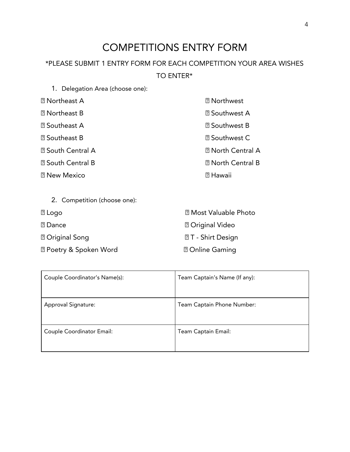## COMPETITIONS ENTRY FORM

### \*PLEASE SUBMIT 1 ENTRY FORM FOR EACH COMPETITION YOUR AREA WISHES TO ENTER\*

1. Delegation Area (choose one):

| <b>2</b> Northeast A     | <b>2</b> Northwest          |
|--------------------------|-----------------------------|
| <b>2</b> Northeast B     | <b>2</b> Southwest A        |
| <b>2</b> Southeast A     | <b>2 Southwest B</b>        |
| <b>2</b> Southeast B     | <b><i>⊠</i> Southwest C</b> |
| <b>2 South Central A</b> | <b>2 North Central A</b>    |
| <b>2 South Central B</b> | <b>2 North Central B</b>    |
| <b>2 New Mexico</b>      | <b>7 Hawaii</b>             |
|                          |                             |

| 2. Competition (choose one):                          |                              |
|-------------------------------------------------------|------------------------------|
| $\mathbb Z$ Logo                                      | <b>2 Most Valuable Photo</b> |
| <b>7</b> Dance                                        | <b>7 Original Video</b>      |
| <b>7 Original Song</b>                                | <b>27 - Shirt Design</b>     |
| <b><b><i><u></u></i></b> Poetry &amp; Spoken Word</b> | <b>2 Online Gaming</b>       |

| Couple Coordinator's Name(s): | Team Captain's Name (If any): |
|-------------------------------|-------------------------------|
| Approval Signature:           | Team Captain Phone Number:    |
| Couple Coordinator Email:     | Team Captain Email:           |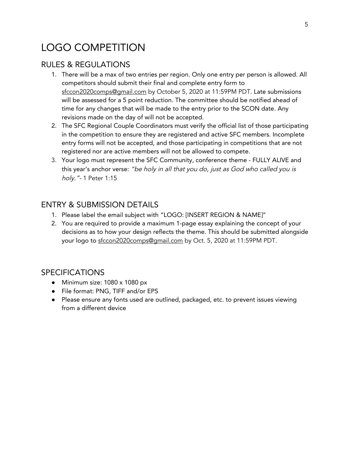## LOGO COMPETITION

#### RULES & REGULATIONS

- 1. There will be a max of two entries per region. Only one entry per person is allowed. All competitors should submit their final and complete entry form to sfccon2020comps@gmail.com by October 5, 2020 at 11:59PM PDT. Late submissions will be assessed for a 5 point reduction. The committee should be notified ahead of time for any changes that will be made to the entry prior to the SCON date. Any revisions made on the day of will not be accepted.
- 2. The SFC Regional Couple Coordinators must verify the official list of those participating in the competition to ensure they are registered and active SFC members. Incomplete entry forms will not be accepted, and those participating in competitions that are not registered nor are active members will not be allowed to compete.
- 3. Your logo must represent the SFC Community, conference theme FULLY ALIVE and this year's anchor verse: "be holy in all that you do, just as God who called you is holy."- 1 Peter 1:15

#### ENTRY & SUBMISSION DETAILS

- 1. Please label the email subject with "LOGO: [INSERT REGION & NAME]"
- 2. You are required to provide a maximum 1-page essay explaining the concept of your decisions as to how your design reflects the theme. This should be submitted alongside your logo to sfccon2020comps@gmail.com by Oct. 5, 2020 at 11:59PM PDT.

#### SPECIFICATIONS

- **●** Minimum size: 1080 x 1080 px
- **●** File format: PNG, TIFF and/or EPS
- **●** Please ensure any fonts used are outlined, packaged, etc. to prevent issues viewing from a different device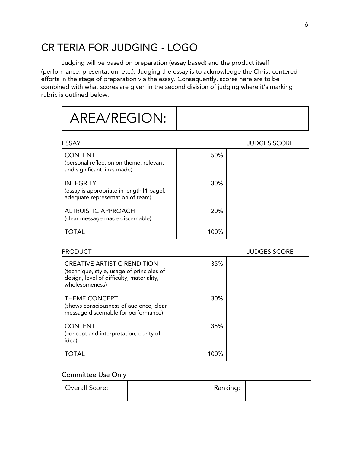## CRITERIA FOR JUDGING - LOGO

Judging will be based on preparation (essay based) and the product itself (performance, presentation, etc.). Judging the essay is to acknowledge the Christ-centered efforts in the stage of preparation via the essay. Consequently, scores here are to be combined with what scores are given in the second division of judging where it's marking rubric is outlined below.

# AREA/REGION:

| ESSAY                                                                                             |            | <b>JUDGES SCORE</b> |
|---------------------------------------------------------------------------------------------------|------------|---------------------|
| <b>CONTENT</b><br>(personal reflection on theme, relevant<br>and significant links made)          | 50%        |                     |
| <b>INTEGRITY</b><br>(essay is appropriate in length [1 page],<br>adequate representation of team) | <b>30%</b> |                     |
| ALTRUISTIC APPROACH<br>(clear message made discernable)                                           | 20%        |                     |
| <b>TOTAL</b>                                                                                      | 100%       |                     |

#### PRODUCT DESCRIPTION OF THE SERVICE SCORE SCORE AND A SUBSESS SCORE

| <b>CREATIVE ARTISTIC RENDITION</b><br>(technique, style, usage of principles of<br>design, level of difficulty, materiality,<br>wholesomeness) | 35%  |  |
|------------------------------------------------------------------------------------------------------------------------------------------------|------|--|
| THEME CONCEPT<br>(shows consciousness of audience, clear<br>message discernable for performance)                                               | 30%  |  |
| <b>CONTENT</b><br>(concept and interpretation, clarity of<br>idea)                                                                             | 35%  |  |
| TOTAL                                                                                                                                          | 100% |  |

| Overall Score: | Ranking: |  |
|----------------|----------|--|
|                |          |  |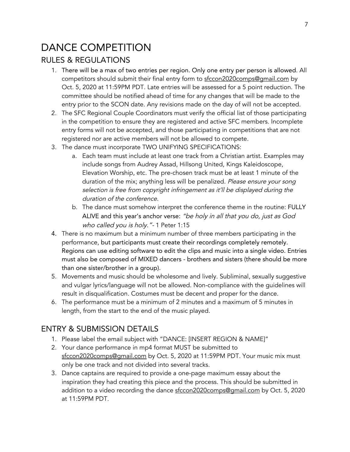## DANCE COMPETITION RULES & REGULATIONS

- 1. There will be a max of two entries per region. Only one entry per person is allowed. All competitors should submit their final entry form to sfccon2020comps@gmail.com by Oct. 5, 2020 at 11:59PM PDT. Late entries will be assessed for a 5 point reduction. The committee should be notified ahead of time for any changes that will be made to the entry prior to the SCON date. Any revisions made on the day of will not be accepted.
- 2. The SFC Regional Couple Coordinators must verify the official list of those participating in the competition to ensure they are registered and active SFC members. Incomplete entry forms will not be accepted, and those participating in competitions that are not registered nor are active members will not be allowed to compete.
- 3. The dance must incorporate TWO UNIFYING SPECIFICATIONS:
	- a. Each team must include at least one track from a Christian artist. Examples may include songs from Audrey Assad, Hillsong United, Kings Kaleidoscope, Elevation Worship, etc. The pre-chosen track must be at least 1 minute of the duration of the mix; anything less will be penalized. Please ensure your song selection is free from copyright infringement as it'll be displayed during the duration of the conference.
	- b. The dance must somehow interpret the conference theme in the routine: FULLY ALIVE and this year's anchor verse: "be holy in all that you do, just as God who called you is holy."- 1 Peter 1:15
- 4. There is no maximum but a minimum number of three members participating in the performance, but participants must create their recordings completely remotely. Regions can use editing software to edit the clips and music into a single video. Entries must also be composed of MIXED dancers - brothers and sisters (there should be more than one sister/brother in a group).
- 5. Movements and music should be wholesome and lively. Subliminal, sexually suggestive and vulgar lyrics/language will not be allowed. Non-compliance with the guidelines will result in disqualification. Costumes must be decent and proper for the dance.
- 6. The performance must be a minimum of 2 minutes and a maximum of 5 minutes in length, from the start to the end of the music played.

- 1. Please label the email subject with "DANCE: [INSERT REGION & NAME]"
- 2. Your dance performance in mp4 format MUST be submitted to sfccon2020comps@gmail.com by Oct. 5, 2020 at 11:59PM PDT. Your music mix must only be one track and not divided into several tracks.
- 3. Dance captains are required to provide a one-page maximum essay about the inspiration they had creating this piece and the process. This should be submitted in addition to a video recording the dance sfccon2020comps@gmail.com by Oct. 5, 2020 at 11:59PM PDT.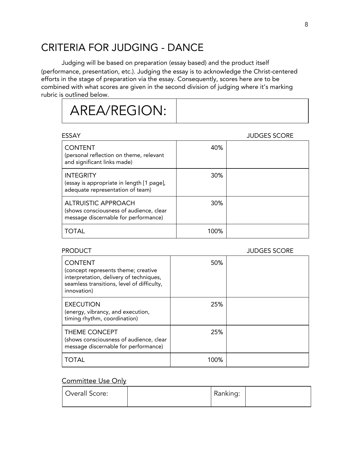## CRITERIA FOR JUDGING - DANCE

Judging will be based on preparation (essay based) and the product itself (performance, presentation, etc.). Judging the essay is to acknowledge the Christ-centered efforts in the stage of preparation via the essay. Consequently, scores here are to be combined with what scores are given in the second division of judging where it's marking rubric is outlined below.

# AREA/REGION:

| ESSAY                                                                                                         |            | <b>JUDGES SCORE</b> |
|---------------------------------------------------------------------------------------------------------------|------------|---------------------|
| <b>CONTENT</b><br>(personal reflection on theme, relevant<br>and significant links made)                      | 40%        |                     |
| <b>INTEGRITY</b><br>(essay is appropriate in length [1 page],<br>adequate representation of team)             | <b>30%</b> |                     |
| <b>ALTRUISTIC APPROACH</b><br>(shows consciousness of audience, clear<br>message discernable for performance) | 30%        |                     |
| <b>TOTAL</b>                                                                                                  | 100%       |                     |

#### PRODUCT A RESERVE TO A RESERVE THE SERVE OF STATE OF STATE SCORE.

| <b>CONTENT</b><br>(concept represents theme; creative<br>interpretation, delivery of techniques,<br>seamless transitions, level of difficulty,<br>innovation) | 50%  |  |
|---------------------------------------------------------------------------------------------------------------------------------------------------------------|------|--|
| <b>EXECUTION</b><br>(energy, vibrancy, and execution,<br>timing rhythm, coordination)                                                                         | 25%  |  |
| <b>THEME CONCEPT</b><br>(shows consciousness of audience, clear<br>message discernable for performance)                                                       | 25%  |  |
| TOTAL                                                                                                                                                         | 100% |  |

| Overall Score: | Ranking: |  |
|----------------|----------|--|
|                |          |  |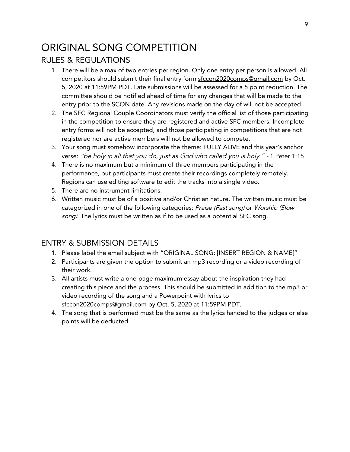## ORIGINAL SONG COMPETITION

### RULES & REGULATIONS

- 1. There will be a max of two entries per region. Only one entry per person is allowed. All competitors should submit their final entry form sfccon2020comps@gmail.com by Oct. 5, 2020 at 11:59PM PDT. Late submissions will be assessed for a 5 point reduction. The committee should be notified ahead of time for any changes that will be made to the entry prior to the SCON date. Any revisions made on the day of will not be accepted.
- 2. The SFC Regional Couple Coordinators must verify the official list of those participating in the competition to ensure they are registered and active SFC members. Incomplete entry forms will not be accepted, and those participating in competitions that are not registered nor are active members will not be allowed to compete.
- 3. Your song must somehow incorporate the theme: FULLY ALIVE and this year's anchor verse: "be holy in all that you do, just as God who called you is holy." - 1 Peter 1:15
- 4. There is no maximum but a minimum of three members participating in the performance, but participants must create their recordings completely remotely. Regions can use editing software to edit the tracks into a single video.
- 5. There are no instrument limitations.
- 6. Written music must be of a positive and/or Christian nature. The written music must be categorized in one of the following categories: Praise (Fast song) or Worship (Slow song). The lyrics must be written as if to be used as a potential SFC song.

- 1. Please label the email subject with "ORIGINAL SONG: [INSERT REGION & NAME]"
- 2. Participants are given the option to submit an mp3 recording or a video recording of their work.
- 3. All artists must write a one-page maximum essay about the inspiration they had creating this piece and the process. This should be submitted in addition to the mp3 or video recording of the song and a Powerpoint with lyrics to sfccon2020comps@gmail.com by Oct. 5, 2020 at 11:59PM PDT.
- 4. The song that is performed must be the same as the lyrics handed to the judges or else points will be deducted.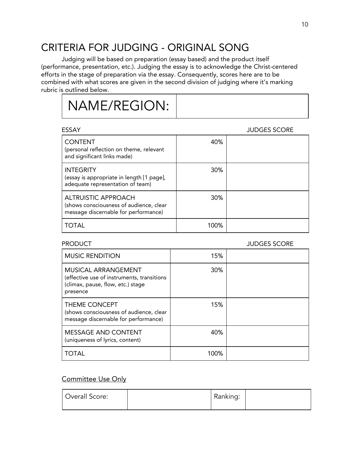## CRITERIA FOR JUDGING - ORIGINAL SONG

Judging will be based on preparation (essay based) and the product itself (performance, presentation, etc.). Judging the essay is to acknowledge the Christ-centered efforts in the stage of preparation via the essay. Consequently, scores here are to be combined with what scores are given in the second division of judging where it's marking rubric is outlined below.

# NAME/REGION:

| ESSAY                                                                                                         |            | <b>JUDGES SCORE</b> |
|---------------------------------------------------------------------------------------------------------------|------------|---------------------|
| <b>CONTENT</b><br>(personal reflection on theme, relevant<br>and significant links made)                      | 40%        |                     |
| <b>INTEGRITY</b><br>(essay is appropriate in length [1 page],<br>adequate representation of team)             | 30%        |                     |
| <b>ALTRUISTIC APPROACH</b><br>(shows consciousness of audience, clear<br>message discernable for performance) | <b>30%</b> |                     |
| TOTAL                                                                                                         | 100%       |                     |

#### PRODUCT THE RESERVE ENGINEERING IN THE RESERVE ENGINEERING IN THE BUILDING SCORE.

| <b>MUSIC RENDITION</b>                                                                                                    | 15%        |  |
|---------------------------------------------------------------------------------------------------------------------------|------------|--|
| <b>MUSICAL ARRANGEMENT</b><br>(effective use of instruments, transitions<br>(climax, pause, flow, etc.) stage<br>presence | <b>30%</b> |  |
| THEME CONCEPT<br>(shows consciousness of audience, clear<br>message discernable for performance)                          | 15%        |  |
| <b>MESSAGE AND CONTENT</b><br>(uniqueness of lyrics, content)                                                             | 40%        |  |
| TOTAL                                                                                                                     | 100%       |  |

| Ranking: |
|----------|
|          |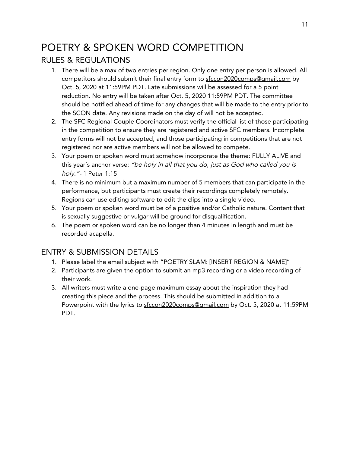## POETRY & SPOKEN WORD COMPETITION RULES & REGULATIONS

- 1. There will be a max of two entries per region. Only one entry per person is allowed. All competitors should submit their final entry form to sfccon2020comps@gmail.com by Oct. 5, 2020 at 11:59PM PDT. Late submissions will be assessed for a 5 point reduction. No entry will be taken after Oct. 5, 2020 11:59PM PDT. The committee should be notified ahead of time for any changes that will be made to the entry prior to the SCON date. Any revisions made on the day of will not be accepted.
- 2. The SFC Regional Couple Coordinators must verify the official list of those participating in the competition to ensure they are registered and active SFC members. Incomplete entry forms will not be accepted, and those participating in competitions that are not registered nor are active members will not be allowed to compete.
- 3. Your poem or spoken word must somehow incorporate the theme: FULLY ALIVE and this year's anchor verse: "be holy in all that you do, just as God who called you is holy."- 1 Peter 1:15
- 4. There is no minimum but a maximum number of 5 members that can participate in the performance, but participants must create their recordings completely remotely. Regions can use editing software to edit the clips into a single video.
- 5. Your poem or spoken word must be of a positive and/or Catholic nature. Content that is sexually suggestive or vulgar will be ground for disqualification.
- 6. The poem or spoken word can be no longer than 4 minutes in length and must be recorded acapella.

- 1. Please label the email subject with "POETRY SLAM: [INSERT REGION & NAME]"
- 2. Participants are given the option to submit an mp3 recording or a video recording of their work.
- 3. All writers must write a one-page maximum essay about the inspiration they had creating this piece and the process. This should be submitted in addition to a Powerpoint with the lyrics to sfccon2020comps@gmail.com by Oct. 5, 2020 at 11:59PM PDT.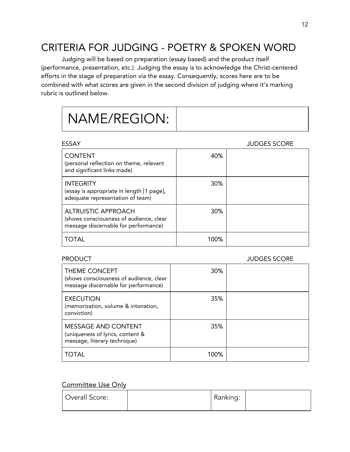## CRITERIA FOR JUDGING - POETRY & SPOKEN WORD

Judging will be based on preparation (essay based) and the product itself (performance, presentation, etc.). Judging the essay is to acknowledge the Christ-centered efforts in the stage of preparation via the essay. Consequently, scores here are to be combined with what scores are given in the second division of judging where it's marking rubric is outlined below.

# NAME/REGION:

| ESSAY                                                                                                         |      | <b>JUDGES SCORE</b> |
|---------------------------------------------------------------------------------------------------------------|------|---------------------|
| <b>CONTENT</b><br>(personal reflection on theme, relevant<br>and significant links made)                      | 40%  |                     |
| <b>INTEGRITY</b><br>(essay is appropriate in length [1 page],<br>adequate representation of team)             | 30%  |                     |
| <b>ALTRUISTIC APPROACH</b><br>(shows consciousness of audience, clear<br>message discernable for performance) | 30%  |                     |
| TOTAL                                                                                                         | 100% |                     |

#### PRODUCT THE RESERVE ENGINEERING IN THE RESERVE ENGINEERING IN THE BUILDING SCORE.

| THEME CONCEPT<br>(shows consciousness of audience, clear<br>message discernable for performance) | <b>30%</b> |  |
|--------------------------------------------------------------------------------------------------|------------|--|
| <b>EXECUTION</b><br>(memorization, volume & intonation,<br>conviction)                           | 35%        |  |
| <b>MESSAGE AND CONTENT</b><br>(uniqueness of lyrics, content &<br>message, literary technique)   | 35%        |  |
| <b>TOTAL</b>                                                                                     | 100%       |  |

| Overall Score: | Ranking: |  |
|----------------|----------|--|
|                |          |  |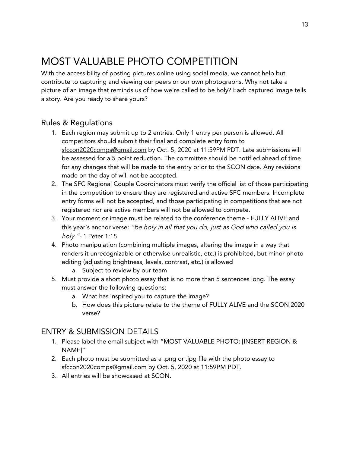## MOST VALUABLE PHOTO COMPETITION

With the accessibility of posting pictures online using social media, we cannot help but contribute to capturing and viewing our peers or our own photographs. Why not take a picture of an image that reminds us of how we're called to be holy? Each captured image tells a story. Are you ready to share yours?

#### Rules & Regulations

- 1. Each region may submit up to 2 entries. Only 1 entry per person is allowed. All competitors should submit their final and complete entry form to sfccon2020comps@gmail.com by Oct. 5, 2020 at 11:59PM PDT. Late submissions will be assessed for a 5 point reduction. The committee should be notified ahead of time for any changes that will be made to the entry prior to the SCON date. Any revisions made on the day of will not be accepted.
- 2. The SFC Regional Couple Coordinators must verify the official list of those participating in the competition to ensure they are registered and active SFC members. Incomplete entry forms will not be accepted, and those participating in competitions that are not registered nor are active members will not be allowed to compete.
- 3. Your moment or image must be related to the conference theme FULLY ALIVE and this year's anchor verse: "be holy in all that you do, just as God who called you is holy."- 1 Peter 1:15
- 4. Photo manipulation (combining multiple images, altering the image in a way that renders it unrecognizable or otherwise unrealistic, etc.) is prohibited, but minor photo editing (adjusting brightness, levels, contrast, etc.) is allowed
	- a. Subject to review by our team
- 5. Must provide a short photo essay that is no more than 5 sentences long. The essay must answer the following questions:
	- a. What has inspired you to capture the image?
	- b. How does this picture relate to the theme of FULLY ALIVE and the SCON 2020 verse?

- 1. Please label the email subject with "MOST VALUABLE PHOTO: [INSERT REGION & NAME]"
- 2. Each photo must be submitted as a .png or .jpg file with the photo essay to sfccon2020comps@gmail.com by Oct. 5, 2020 at 11:59PM PDT.
- 3. All entries will be showcased at SCON.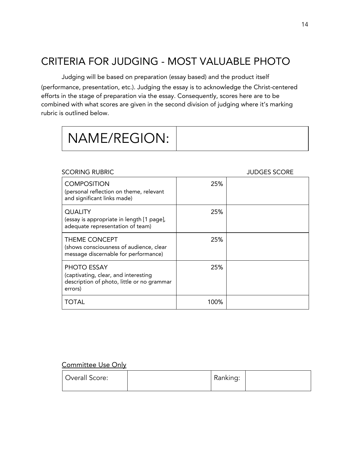## CRITERIA FOR JUDGING - MOST VALUABLE PHOTO

Judging will be based on preparation (essay based) and the product itself (performance, presentation, etc.). Judging the essay is to acknowledge the Christ-centered efforts in the stage of preparation via the essay. Consequently, scores here are to be combined with what scores are given in the second division of judging where it's marking rubric is outlined below.

#### SCORING RUBRIC **SCORING RUBRIC SCORE**

| <b>COMPOSITION</b><br>(personal reflection on theme, relevant<br>and significant links made)                 | 25%  |  |
|--------------------------------------------------------------------------------------------------------------|------|--|
| <b>QUALITY</b><br>(essay is appropriate in length [1 page],<br>adequate representation of team)              | 25%  |  |
| <b>THEME CONCEPT</b><br>(shows consciousness of audience, clear<br>message discernable for performance)      | 25%  |  |
| PHOTO ESSAY<br>(captivating, clear, and interesting<br>description of photo, little or no grammar<br>errors) | 25%  |  |
| <b>TOTAL</b>                                                                                                 | 100% |  |

| Overall Score: |  | Ranking: |  |
|----------------|--|----------|--|
|----------------|--|----------|--|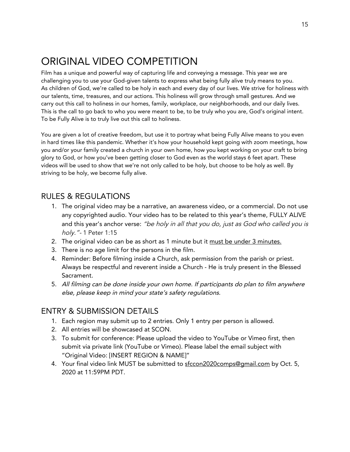## ORIGINAL VIDEO COMPETITION

Film has a unique and powerful way of capturing life and conveying a message. This year we are challenging you to use your God-given talents to express what being fully alive truly means to you. As children of God, we're called to be holy in each and every day of our lives. We strive for holiness with our talents, time, treasures, and our actions. This holiness will grow through small gestures. And we carry out this call to holiness in our homes, family, workplace, our neighborhoods, and our daily lives. This is the call to go back to who you were meant to be, to be truly who you are, God's original intent. To be Fully Alive is to truly live out this call to holiness.

You are given a lot of creative freedom, but use it to portray what being Fully Alive means to you even in hard times like this pandemic. Whether it's how your household kept going with zoom meetings, how you and/or your family created a church in your own home, how you kept working on your craft to bring glory to God, or how you've been getting closer to God even as the world stays 6 feet apart. These videos will be used to show that we're not only called to be holy, but choose to be holy as well. By striving to be holy, we become fully alive.

#### RULES & REGULATIONS

- 1. The original video may be a narrative, an awareness video, or a commercial. Do not use any copyrighted audio. Your video has to be related to this year's theme, FULLY ALIVE and this year's anchor verse: "be holy in all that you do, just as God who called you is holy."- 1 Peter 1:15
- 2. The original video can be as short as 1 minute but it must be under 3 minutes.
- 3. There is no age limit for the persons in the film.
- 4. Reminder: Before filming inside a Church, ask permission from the parish or priest. Always be respectful and reverent inside a Church - He is truly present in the Blessed Sacrament.
- 5. All filming can be done inside your own home. If participants do <sup>p</sup>lan to film anywhere else, please keep in mind your state's safety regulations.

- 1. Each region may submit up to 2 entries. Only 1 entry per person is allowed.
- 2. All entries will be showcased at SCON.
- 3. To submit for conference: Please upload the video to YouTube or Vimeo first, then submit via private link (YouTube or Vimeo). Please label the email subject with "Original Video: [INSERT REGION & NAME]"
- 4. Your final video link MUST be submitted to sfccon2020comps@gmail.com by Oct. 5, 2020 at 11:59PM PDT.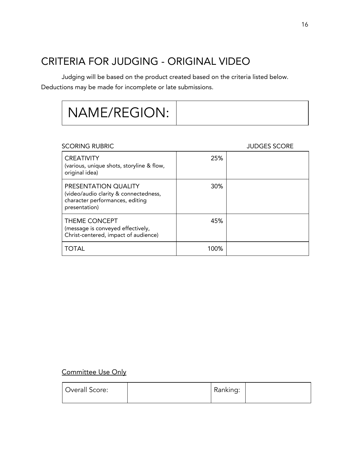## CRITERIA FOR JUDGING - ORIGINAL VIDEO

Judging will be based on the product created based on the criteria listed below. Deductions may be made for incomplete or late submissions.

| NAME/REGION: |  |
|--------------|--|
|--------------|--|

#### SCORING RUBRIC SCORE JUDGES SCORE

| <b>CREATIVITY</b><br>(various, unique shots, storyline & flow,<br>original idea)                                  | 25%  |  |
|-------------------------------------------------------------------------------------------------------------------|------|--|
| PRESENTATION QUALITY<br>(video/audio clarity & connectedness,<br>character performances, editing<br>presentation) | 30%  |  |
| <b>THEME CONCEPT</b><br>(message is conveyed effectively,<br>Christ-centered, impact of audience)                 | 45%  |  |
| TOTAL                                                                                                             | 100% |  |

| Overall Score: | Ranking: |  |
|----------------|----------|--|
|                |          |  |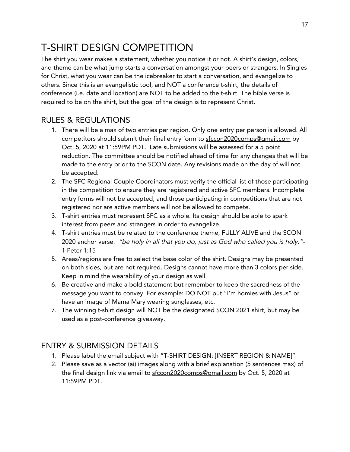## T-SHIRT DESIGN COMPETITION

The shirt you wear makes a statement, whether you notice it or not. A shirt's design, colors, and theme can be what jump starts a conversation amongst your peers or strangers. In Singles for Christ, what you wear can be the icebreaker to start a conversation, and evangelize to others. Since this is an evangelistic tool, and NOT a conference t-shirt, the details of conference (i.e. date and location) are NOT to be added to the t-shirt. The bible verse is required to be on the shirt, but the goal of the design is to represent Christ.

### RULES & REGULATIONS

- 1. There will be a max of two entries per region. Only one entry per person is allowed. All competitors should submit their final entry form to sfccon2020comps@gmail.com by Oct. 5, 2020 at 11:59PM PDT. Late submissions will be assessed for a 5 point reduction. The committee should be notified ahead of time for any changes that will be made to the entry prior to the SCON date. Any revisions made on the day of will not be accepted.
- 2. The SFC Regional Couple Coordinators must verify the official list of those participating in the competition to ensure they are registered and active SFC members. Incomplete entry forms will not be accepted, and those participating in competitions that are not registered nor are active members will not be allowed to compete.
- 3. T-shirt entries must represent SFC as a whole. Its design should be able to spark interest from peers and strangers in order to evangelize.
- 4. T-shirt entries must be related to the conference theme, FULLY ALIVE and the SCON 2020 anchor verse: "be holy in all that you do, just as God who called you is holy."- 1 Peter 1:15
- 5. Areas/regions are free to select the base color of the shirt. Designs may be presented on both sides, but are not required. Designs cannot have more than 3 colors per side. Keep in mind the wearability of your design as well.
- 6. Be creative and make a bold statement but remember to keep the sacredness of the message you want to convey. For example: DO NOT put "I'm homies with Jesus" or have an image of Mama Mary wearing sunglasses, etc.
- 7. The winning t-shirt design will NOT be the designated SCON 2021 shirt, but may be used as a post-conference giveaway.

- 1. Please label the email subject with "T-SHIRT DESIGN: [INSERT REGION & NAME]"
- 2. Please save as a vector (ai) images along with a brief explanation (5 sentences max) of the final design link via email to sfccon2020comps@gmail.com by Oct. 5, 2020 at 11:59PM PDT.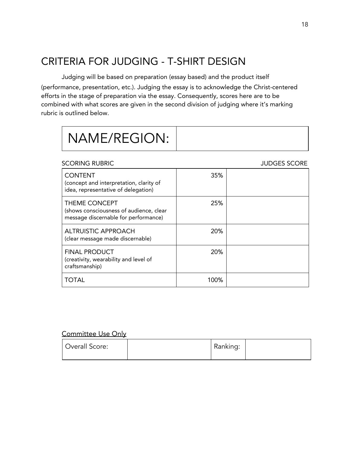## CRITERIA FOR JUDGING - T-SHIRT DESIGN

Judging will be based on preparation (essay based) and the product itself (performance, presentation, etc.). Judging the essay is to acknowledge the Christ-centered efforts in the stage of preparation via the essay. Consequently, scores here are to be combined with what scores are given in the second division of judging where it's marking rubric is outlined below.

|  | NAME/REGION: |  |
|--|--------------|--|
|--|--------------|--|

#### SCORING RUBRIC **SCORING RUBRIC SCORE**

| <b>CONTENT</b><br>(concept and interpretation, clarity of<br>idea, representative of delegation) | 35%  |  |
|--------------------------------------------------------------------------------------------------|------|--|
| THEME CONCEPT<br>(shows consciousness of audience, clear<br>message discernable for performance) | 25%  |  |
| <b>ALTRUISTIC APPROACH</b><br>(clear message made discernable)                                   | 20%  |  |
| <b>FINAL PRODUCT</b><br>(creativity, wearability and level of<br>craftsmanship)                  | 20%  |  |
| TOTAL                                                                                            | 100% |  |

| Overall Score: | Ranking: |  |
|----------------|----------|--|
|                |          |  |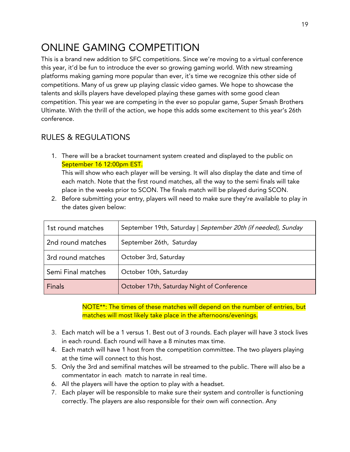## ONLINE GAMING COMPETITION

This is a brand new addition to SFC competitions. Since we're moving to a virtual conference this year, it'd be fun to introduce the ever so growing gaming world. With new streaming platforms making gaming more popular than ever, it's time we recognize this other side of competitions. Many of us grew up playing classic video games. We hope to showcase the talents and skills players have developed playing these games with some good clean competition. This year we are competing in the ever so popular game, Super Smash Brothers Ultimate. With the thrill of the action, we hope this adds some excitement to this year's 26th conference.

### RULES & REGULATIONS

1. There will be a bracket tournament system created and displayed to the public on September 16 12:00pm EST.

This will show who each player will be versing. It will also display the date and time of each match. Note that the first round matches, all the way to the semi finals will take place in the weeks prior to SCON. The finals match will be played during SCON.

2. Before submitting your entry, players will need to make sure they're available to play in the dates given below:

| 1st round matches  | September 19th, Saturday   September 20th (if needed), Sunday |  |
|--------------------|---------------------------------------------------------------|--|
| 2nd round matches  | September 26th, Saturday                                      |  |
| 3rd round matches  | October 3rd, Saturday                                         |  |
| Semi Final matches | October 10th, Saturday                                        |  |
| <b>Finals</b>      | October 17th, Saturday Night of Conference                    |  |

NOTE<sup>\*\*</sup>: The times of these matches will depend on the number of entries, but matches will most likely take place in the afternoons/evenings.

- 3. Each match will be a 1 versus 1. Best out of 3 rounds. Each player will have 3 stock lives in each round. Each round will have a 8 minutes max time.
- 4. Each match will have 1 host from the competition committee. The two players playing at the time will connect to this host.
- 5. Only the 3rd and semifinal matches will be streamed to the public. There will also be a commentator in each match to narrate in real time.
- 6. All the players will have the option to play with a headset.
- 7. Each player will be responsible to make sure their system and controller is functioning correctly. The players are also responsible for their own wifi connection. Any